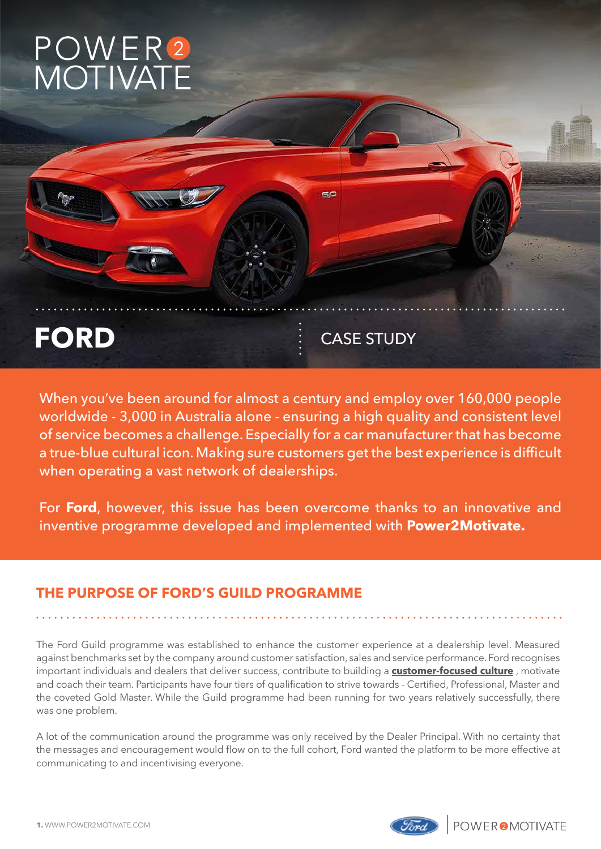## POWER<sup>2</sup><br>MOTIVATE



When you've been around for almost a century and employ over 160,000 people worldwide - 3,000 in Australia alone - ensuring a high quality and consistent level of service becomes a challenge. Especially for a car manufacturer that has become a true-blue cultural icon. Making sure customers get the best experience is difficult when operating a vast network of dealerships.

For **Ford**, however, this issue has been overcome thanks to an innovative and inventive programme developed and implemented with **Power2Motivate.**

## **THE PURPOSE OF FORD'S GUILD PROGRAMME**

The Ford Guild programme was established to enhance the customer experience at a dealership level. Measured against benchmarks set by the company around customer satisfaction, sales and service performance. Ford recognises important individuals and dealers that deliver success, contribute to building a **customer-focused culture** , motivate and coach their team. Participants have four tiers of qualification to strive towards - Certified, Professional, Master and the coveted Gold Master. While the Guild programme had been running for two years relatively successfully, there was one problem.

A lot of the communication around the programme was only received by the Dealer Principal. With no certainty that the messages and encouragement would flow on to the full cohort, Ford wanted the platform to be more effective at communicating to and incentivising everyone.